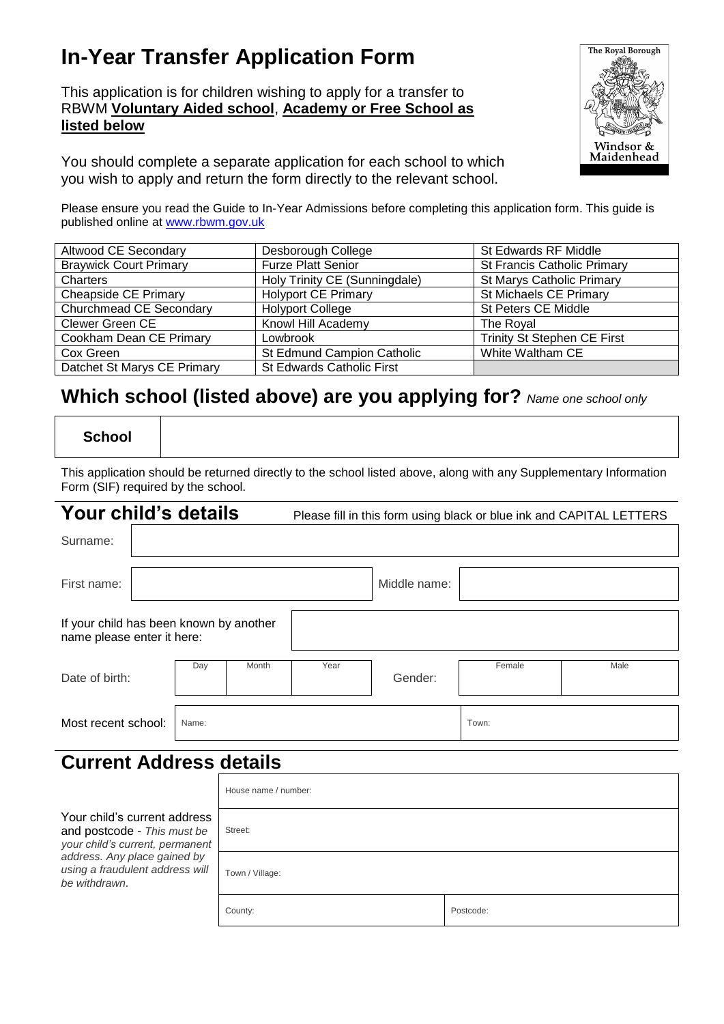# **In-Year Transfer Application Form**

This application is for children wishing to apply for a transfer to RBWM **Voluntary Aided school**, **Academy or Free School as listed below**



You should complete a separate application for each school to which you wish to apply and return the form directly to the relevant school.

Please ensure you read the Guide to In-Year Admissions before completing this application form. This guide is published online at [www.rbwm.gov.uk](http://www.rbwm.gov.uk/)

| Altwood CE Secondary          | Desborough College            | St Edwards RF Middle               |
|-------------------------------|-------------------------------|------------------------------------|
| <b>Braywick Court Primary</b> | <b>Furze Platt Senior</b>     | <b>St Francis Catholic Primary</b> |
| Charters                      | Holy Trinity CE (Sunningdale) | St Marys Catholic Primary          |
| Cheapside CE Primary          | <b>Holyport CE Primary</b>    | St Michaels CE Primary             |
| Churchmead CE Secondary       | <b>Holyport College</b>       | St Peters CE Middle                |
| Clewer Green CE               | Knowl Hill Academy            | The Royal                          |
| Cookham Dean CE Primary       | Lowbrook                      | Trinity St Stephen CE First        |
| Cox Green                     | St Edmund Campion Catholic    | White Waltham CE                   |
| Datchet St Marys CE Primary   | St Edwards Catholic First     |                                    |

## **Which school (listed above) are you applying for?** *Name one school only*

**School**

This application should be returned directly to the school listed above, along with any Supplementary Information Form (SIF) required by the school.

| Your child's details           |                                                                       |      |         |              |       | Please fill in this form using black or blue ink and CAPITAL LETTERS |
|--------------------------------|-----------------------------------------------------------------------|------|---------|--------------|-------|----------------------------------------------------------------------|
| Surname:                       |                                                                       |      |         |              |       |                                                                      |
| First name:                    |                                                                       |      |         | Middle name: |       |                                                                      |
|                                | If your child has been known by another<br>name please enter it here: |      |         |              |       |                                                                      |
| Month<br>Day<br>Date of birth: |                                                                       | Year | Gender: | Female       | Male  |                                                                      |
| Most recent school:            | Name:                                                                 |      |         |              | Town: |                                                                      |

## **Current Address details**

|                                                                                                                                                                                    | House name / number: |           |  |  |  |
|------------------------------------------------------------------------------------------------------------------------------------------------------------------------------------|----------------------|-----------|--|--|--|
| Your child's current address<br>and postcode - This must be<br>your child's current, permanent<br>address. Any place gained by<br>using a fraudulent address will<br>be withdrawn. | Street:              |           |  |  |  |
|                                                                                                                                                                                    | Town / Village:      |           |  |  |  |
|                                                                                                                                                                                    | County:              | Postcode: |  |  |  |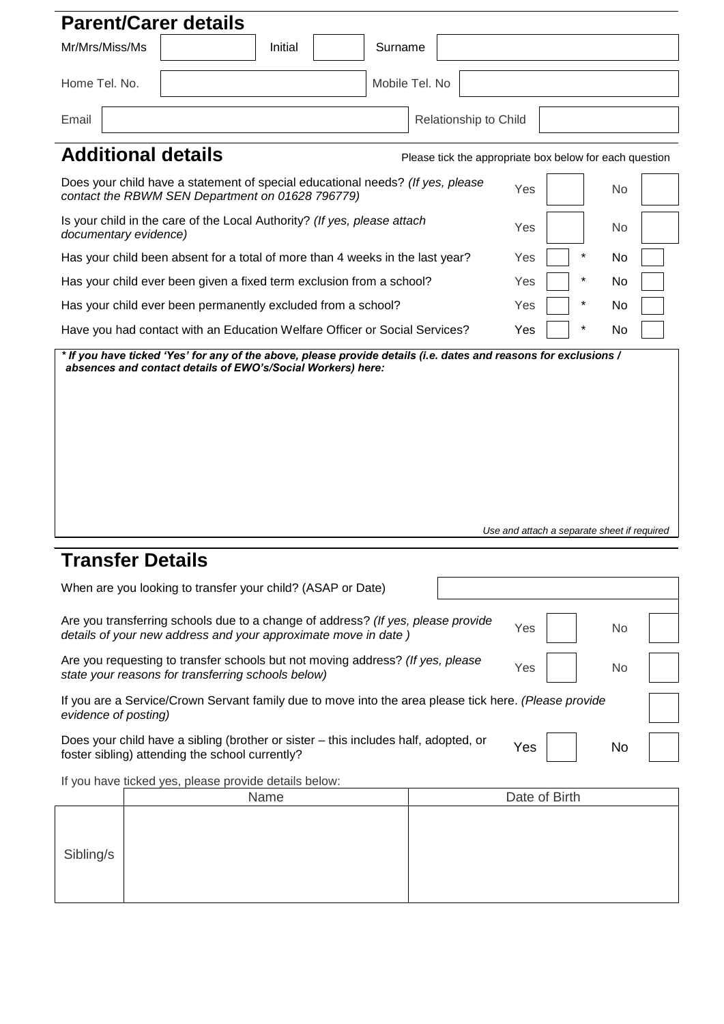| <b>Parent/Carer details</b>                                                                                                                                                                                                    |                                                                                                                                    |  |                |                                                         |     |               |  |
|--------------------------------------------------------------------------------------------------------------------------------------------------------------------------------------------------------------------------------|------------------------------------------------------------------------------------------------------------------------------------|--|----------------|---------------------------------------------------------|-----|---------------|--|
| Mr/Mrs/Miss/Ms                                                                                                                                                                                                                 | Initial                                                                                                                            |  | Surname        |                                                         |     |               |  |
| Home Tel. No.                                                                                                                                                                                                                  |                                                                                                                                    |  | Mobile Tel. No |                                                         |     |               |  |
| Email                                                                                                                                                                                                                          |                                                                                                                                    |  |                | Relationship to Child                                   |     |               |  |
| <b>Additional details</b>                                                                                                                                                                                                      |                                                                                                                                    |  |                | Please tick the appropriate box below for each question |     |               |  |
|                                                                                                                                                                                                                                | Does your child have a statement of special educational needs? (If yes, please<br>contact the RBWM SEN Department on 01628 796779) |  |                |                                                         | Yes | <b>No</b>     |  |
| documentary evidence)                                                                                                                                                                                                          | Is your child in the care of the Local Authority? (If yes, please attach                                                           |  |                |                                                         | Yes | <b>No</b>     |  |
|                                                                                                                                                                                                                                | Has your child been absent for a total of more than 4 weeks in the last year?                                                      |  |                |                                                         | Yes | $\star$<br>No |  |
|                                                                                                                                                                                                                                | Has your child ever been given a fixed term exclusion from a school?                                                               |  |                |                                                         | Yes | $\star$<br>No |  |
|                                                                                                                                                                                                                                | Has your child ever been permanently excluded from a school?                                                                       |  |                |                                                         | Yes | No            |  |
|                                                                                                                                                                                                                                | Have you had contact with an Education Welfare Officer or Social Services?                                                         |  |                |                                                         | Yes | No            |  |
| * If you have ticked 'Yes' for any of the above, please provide details (i.e. dates and reasons for exclusions /<br>absences and contact details of EWO's/Social Workers) here:<br>Use and attach a separate sheet if required |                                                                                                                                    |  |                |                                                         |     |               |  |
| Trancfor Dotaile                                                                                                                                                                                                               |                                                                                                                                    |  |                |                                                         |     |               |  |

### **Transfer Details**

| When are you looking to transfer your child? (ASAP or Date)                                                                                        |     |     |    |  |
|----------------------------------------------------------------------------------------------------------------------------------------------------|-----|-----|----|--|
| Are you transferring schools due to a change of address? (If yes, please provide<br>details of your new address and your approximate move in date) | Yes |     | No |  |
| Are you requesting to transfer schools but not moving address? (If yes, please<br>state your reasons for transferring schools below)               |     | Yes | No |  |
| If you are a Service/Crown Servant family due to move into the area please tick here. (Please provide<br>evidence of posting)                      |     |     |    |  |
| Does your child have a sibling (brother or sister - this includes half, adopted, or<br>foster sibling) attending the school currently?             |     | Yes |    |  |

If you have ticked yes, please provide details below:

|           | Name | Date of Birth |
|-----------|------|---------------|
| Sibling/s |      |               |
|           |      |               |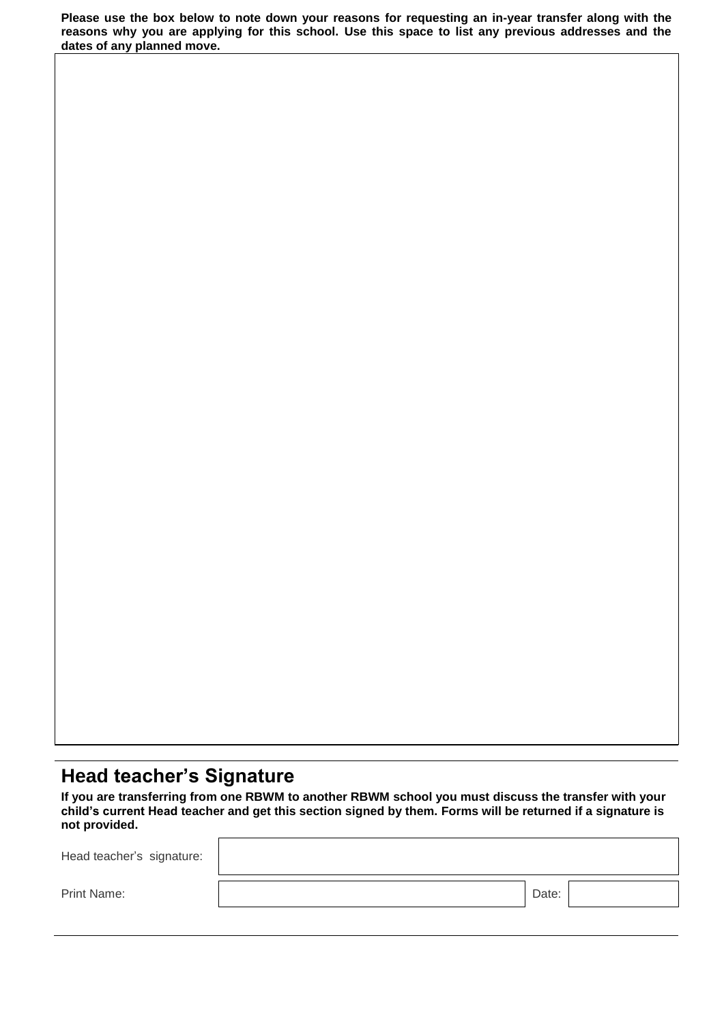**Please use the box below to note down your reasons for requesting an in-year transfer along with the reasons why you are applying for this school. Use this space to list any previous addresses and the dates of any planned move.**

# **Head teacher's Signature**

**If you are transferring from one RBWM to another RBWM school you must discuss the transfer with your child's current Head teacher and get this section signed by them. Forms will be returned if a signature is not provided.**

| Head teacher's signature: |       |  |
|---------------------------|-------|--|
| Print Name:               | Date: |  |